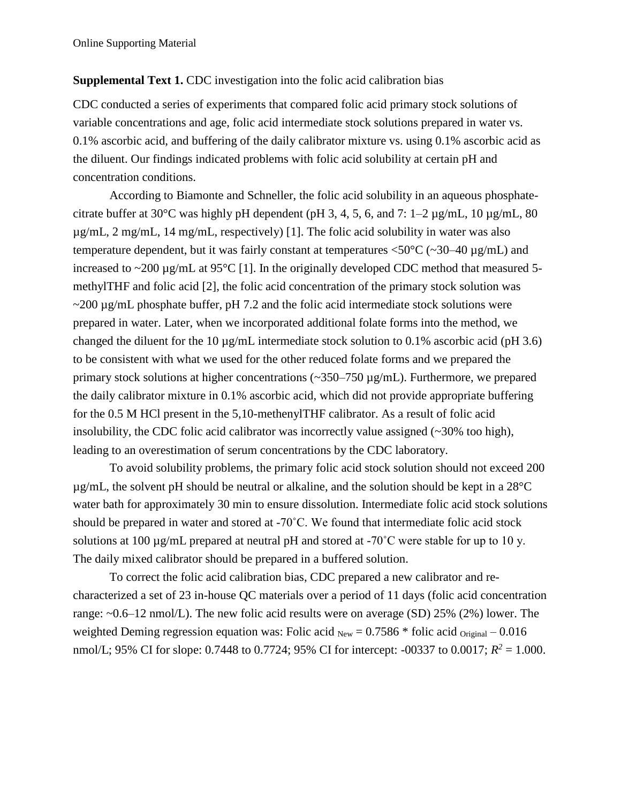### **Supplemental Text 1.** CDC investigation into the folic acid calibration bias

CDC conducted a series of experiments that compared folic acid primary stock solutions of variable concentrations and age, folic acid intermediate stock solutions prepared in water vs. 0.1% ascorbic acid, and buffering of the daily calibrator mixture vs. using 0.1% ascorbic acid as the diluent. Our findings indicated problems with folic acid solubility at certain pH and concentration conditions.

According to Biamonte and Schneller, the folic acid solubility in an aqueous phosphatecitrate buffer at 30 $^{\circ}$ C was highly pH dependent (pH 3, 4, 5, 6, and 7: 1–2 µg/mL, 10 µg/mL, 80 µg/mL, 2 mg/mL, 14 mg/mL, respectively) [1]. The folic acid solubility in water was also temperature dependent, but it was fairly constant at temperatures  $\langle 50^{\circ}$ C ( $\sim$ 30–40 µg/mL) and increased to  $\sim$ 200 µg/mL at 95°C [1]. In the originally developed CDC method that measured 5methylTHF and folic acid [2], the folic acid concentration of the primary stock solution was  $\sim$ 200 µg/mL phosphate buffer, pH 7.2 and the folic acid intermediate stock solutions were prepared in water. Later, when we incorporated additional folate forms into the method, we changed the diluent for the 10 µg/mL intermediate stock solution to 0.1% ascorbic acid (pH 3.6) to be consistent with what we used for the other reduced folate forms and we prepared the primary stock solutions at higher concentrations (~350–750 µg/mL). Furthermore, we prepared the daily calibrator mixture in 0.1% ascorbic acid, which did not provide appropriate buffering for the 0.5 M HCl present in the 5,10-methenylTHF calibrator. As a result of folic acid insolubility, the CDC folic acid calibrator was incorrectly value assigned  $(\sim 30\%$  too high), leading to an overestimation of serum concentrations by the CDC laboratory.

To avoid solubility problems, the primary folic acid stock solution should not exceed 200  $\mu$ g/mL, the solvent pH should be neutral or alkaline, and the solution should be kept in a 28<sup>o</sup>C water bath for approximately 30 min to ensure dissolution. Intermediate folic acid stock solutions should be prepared in water and stored at -70˚C. We found that intermediate folic acid stock solutions at 100 µg/mL prepared at neutral pH and stored at -70˚C were stable for up to 10 y. The daily mixed calibrator should be prepared in a buffered solution.

To correct the folic acid calibration bias, CDC prepared a new calibrator and recharacterized a set of 23 in-house QC materials over a period of 11 days (folic acid concentration range: ~0.6–12 nmol/L). The new folic acid results were on average (SD) 25% (2%) lower. The weighted Deming regression equation was: Folic acid  $_{New} = 0.7586 *$  folic acid  $_{Original} - 0.016$ nmol/L; 95% CI for slope: 0.7448 to 0.7724; 95% CI for intercept: -00337 to 0.0017; *R <sup>2</sup>* = 1.000.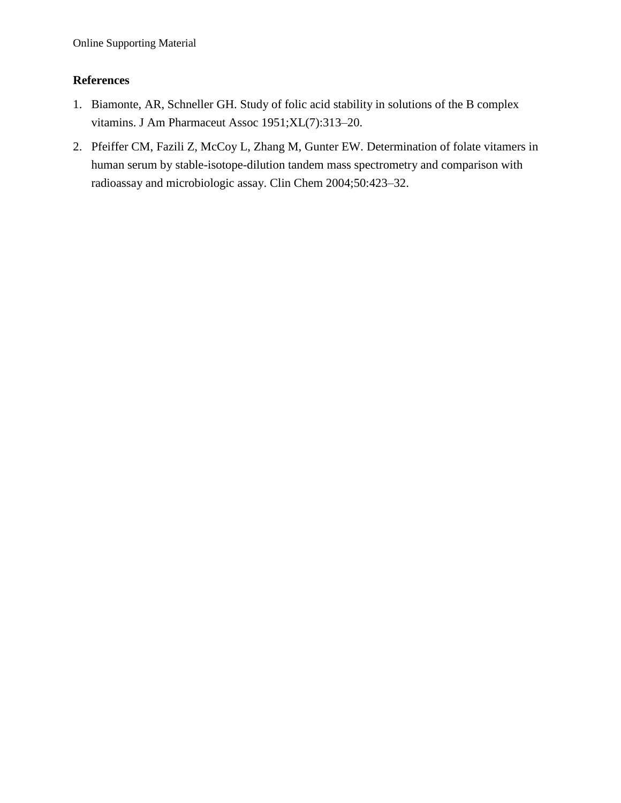### **References**

- 1. Biamonte, AR, Schneller GH. Study of folic acid stability in solutions of the B complex vitamins. J Am Pharmaceut Assoc 1951;XL(7):313–20.
- 2. Pfeiffer CM, Fazili Z, McCoy L, Zhang M, Gunter EW. Determination of folate vitamers in human serum by stable-isotope-dilution tandem mass spectrometry and comparison with radioassay and microbiologic assay. Clin Chem 2004;50:423–32.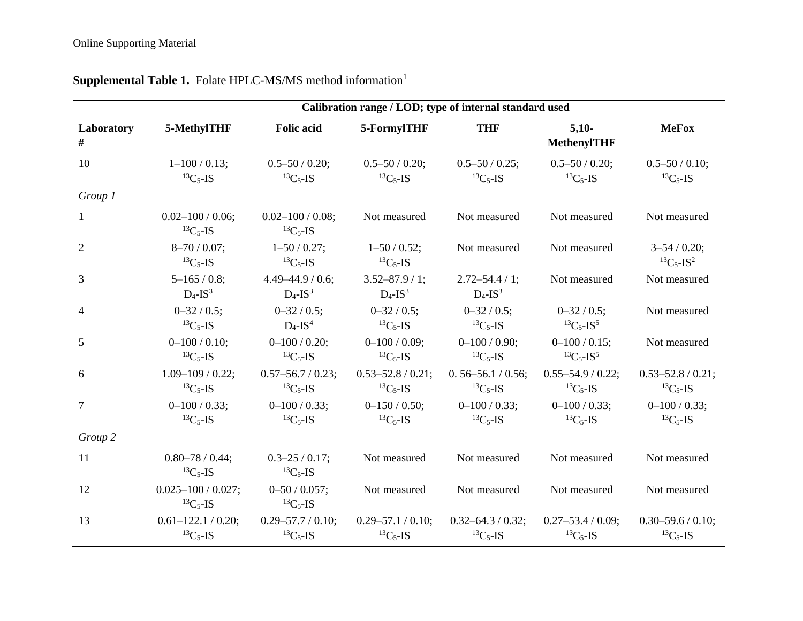|                 | Calibration range / LOD; type of internal standard used |                                                |                                              |                                              |                                                     |                                                      |  |  |  |  |  |  |
|-----------------|---------------------------------------------------------|------------------------------------------------|----------------------------------------------|----------------------------------------------|-----------------------------------------------------|------------------------------------------------------|--|--|--|--|--|--|
| Laboratory<br># | 5-MethylTHF                                             | <b>Folic acid</b>                              | 5-FormylTHF                                  | <b>THF</b>                                   | $5,10-$<br><b>MethenylTHF</b>                       | <b>MeFox</b>                                         |  |  |  |  |  |  |
| 10              | $1 - 100 / 0.13$ ;<br>${}^{13}C_5$ -IS                  | $0.5 - 50 / 0.20$ ;<br>${}^{13}C_5$ -IS        | $0.5 - 50 / 0.20$ ;<br>${}^{13}C_5$ -IS      | $0.5 - 50 / 0.25$ ;<br>${}^{13}C_5$ -IS      | $0.5 - 50 / 0.20$ ;<br>${}^{13}C_5$ -IS             | $0.5 - 50 / 0.10$ ;<br>${}^{13}C_5$ -IS              |  |  |  |  |  |  |
| Group 1         |                                                         |                                                |                                              |                                              |                                                     |                                                      |  |  |  |  |  |  |
| $\mathbf{1}$    | $0.02 - 100 / 0.06$ ;<br>${}^{13}C_5$ -IS               | $0.02 - 100 / 0.08$ ;<br>${}^{13}C_5$ -IS      | Not measured                                 | Not measured                                 | Not measured                                        | Not measured                                         |  |  |  |  |  |  |
| $\overline{2}$  | $8 - 70 / 0.07$ ;<br>${}^{13}C_5$ -IS                   | $1 - 50 / 0.27$ ;<br>${}^{13}C_5$ -IS          | $1 - 50 / 0.52$ ;<br>${}^{13}C_5$ -IS        | Not measured                                 | Not measured                                        | $3 - 54 / 0.20$ ;<br>${}^{13}C_{5}$ -IS <sup>2</sup> |  |  |  |  |  |  |
| 3               | $5 - 165 / 0.8$ ;<br>$D_4$ -IS <sup>3</sup>             | $4.49 - 44.9 / 0.6;$<br>$D_4$ -IS <sup>3</sup> | $3.52 - 87.9 / 1;$<br>$D_4$ -IS <sup>3</sup> | $2.72 - 54.4 / 1;$<br>$D_4$ -IS <sup>3</sup> | Not measured                                        | Not measured                                         |  |  |  |  |  |  |
| 4               | $0 - 32 / 0.5$ ;<br>${}^{13}C_5$ -IS                    | $0 - 32 / 0.5$ ;<br>$D_4$ -IS <sup>4</sup>     | $0 - 32 / 0.5$ ;<br>${}^{13}C_5$ -IS         | $0 - 32 / 0.5$ ;<br>${}^{13}C_5$ -IS         | $0 - 32 / 0.5$ ;<br>${}^{13}C_5$ -IS <sup>5</sup>   | Not measured                                         |  |  |  |  |  |  |
| 5               | $0 - 100 / 0.10$ ;<br>${}^{13}C_5$ -IS                  | $0 - 100 / 0.20$ ;<br>${}^{13}C_5$ -IS         | $0 - 100 / 0.09$ ;<br>${}^{13}C_5$ -IS       | $0 - 100 / 0.90;$<br>${}^{13}C_5$ -IS        | $0 - 100 / 0.15$ ;<br>${}^{13}C_5$ -IS <sup>5</sup> | Not measured                                         |  |  |  |  |  |  |
| 6               | $1.09 - 109 / 0.22$ ;<br>${}^{13}C_5$ -IS               | $0.57 - 56.7 / 0.23$ ;<br>${}^{13}C_5$ -IS     | $0.53 - 52.8 / 0.21$ ;<br>${}^{13}C_5$ -IS   | $0.56 - 56.1 / 0.56$ ;<br>${}^{13}C_5$ -IS   | $0.55 - 54.9 / 0.22$ ;<br>${}^{13}C_5$ -IS          | $0.53 - 52.8 / 0.21$ ;<br>${}^{13}C_5$ -IS           |  |  |  |  |  |  |
| $\tau$          | $0 - 100 / 0.33$ ;<br>${}^{13}C_5$ -IS                  | $0 - 100 / 0.33$ ;<br>${}^{13}C_5$ -IS         | $0 - 150 / 0.50$ ;<br>${}^{13}C_5$ -IS       | $0 - 100 / 0.33$ ;<br>${}^{13}C_5$ -IS       | $0 - 100 / 0.33$ ;<br>${}^{13}C_5$ -IS              | $0 - 100 / 0.33$ ;<br>${}^{13}C_5$ -IS               |  |  |  |  |  |  |
| Group 2         |                                                         |                                                |                                              |                                              |                                                     |                                                      |  |  |  |  |  |  |
| 11              | $0.80 - 78 / 0.44$ ;<br>${}^{13}C_5$ -IS                | $0.3 - 25 / 0.17$ ;<br>${}^{13}C_5$ -IS        | Not measured                                 | Not measured                                 | Not measured                                        | Not measured                                         |  |  |  |  |  |  |
| 12              | $0.025 - 100 / 0.027$ ;<br>${}^{13}C_5$ -IS             | $0 - 50 / 0.057$ ;<br>${}^{13}C_5$ -IS         | Not measured                                 | Not measured                                 | Not measured                                        | Not measured                                         |  |  |  |  |  |  |
| 13              | $0.61 - 122.1 / 0.20$ ;<br>${}^{13}C_5$ -IS             | $0.29 - 57.7 / 0.10$ ;<br>${}^{13}C_5$ -IS     | $0.29 - 57.1 / 0.10$ ;<br>${}^{13}C_5$ -IS   | $0.32 - 64.3 / 0.32$ ;<br>${}^{13}C_5$ -IS   | $0.27 - 53.4 / 0.09$ ;<br>${}^{13}C_5$ -IS          | $0.30 - 59.6 / 0.10$ ;<br>${}^{13}C_5$ -IS           |  |  |  |  |  |  |

# **Supplemental Table 1.** Folate HPLC-MS/MS method information<sup>1</sup>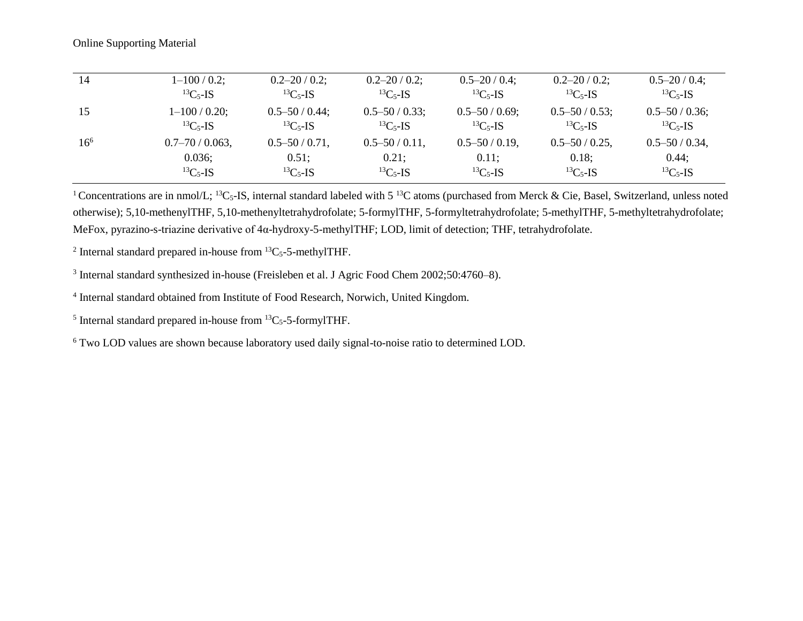| 14       | $1 - 100 / 0.2$ ;    | $0.2 - 20 / 0.2$ ;  | $0.2 - 20 / 0.2$ ;  | $0.5 - 20 / 0.4$ ;  | $0.2 - 20 / 0.2$ ;  | $0.5 - 20 / 0.4$ ;  |
|----------|----------------------|---------------------|---------------------|---------------------|---------------------|---------------------|
|          | ${}^{13}C_5$ -IS     | ${}^{13}C_5$ -IS    | ${}^{13}C_5$ -IS    | ${}^{13}C_5$ -IS    | ${}^{13}C_5$ -IS    | ${}^{13}C_5$ -IS    |
| 15       | $1 - 100 / 0.20$ ;   | $0.5 - 50 / 0.44$ ; | $0.5 - 50 / 0.33$ ; | $0.5 - 50 / 0.69$ ; | $0.5 - 50 / 0.53$ ; | $0.5 - 50 / 0.36$ ; |
|          | ${}^{13}C_5$ -IS     | ${}^{13}C_{5}$ -IS  | ${}^{13}C_{5}$ -IS  | ${}^{13}C_5$ -IS    | ${}^{13}C_5$ -IS    | ${}^{13}C_5$ -IS    |
| $16^{6}$ | $0.7 - 70 / 0.063$ , | $0.5 - 50 / 0.71$ , | $0.5 - 50 / 0.11$ , | $0.5 - 50 / 0.19$ , | $0.5 - 50 / 0.25$ , | $0.5 - 50 / 0.34$ , |
|          | 0.036;               | 0.51;               | $0.21$ ;            | 0.11;               | 0.18;               | 0.44;               |
|          | ${}^{13}C_5$ -IS     | ${}^{13}C_5$ -IS    | ${}^{13}C_{5}$ -IS  | ${}^{13}C_5$ -IS    | ${}^{13}C_5$ -IS    | ${}^{13}C_5$ -IS    |

<sup>1</sup> Concentrations are in nmol/L; <sup>13</sup>C<sub>5</sub>-IS, internal standard labeled with 5<sup>13</sup>C atoms (purchased from Merck & Cie, Basel, Switzerland, unless noted otherwise); 5,10-methenylTHF, 5,10-methenyltetrahydrofolate; 5-formylTHF, 5-formyltetrahydrofolate; 5-methylTHF, 5-methyltetrahydrofolate; MeFox, pyrazino-s-triazine derivative of 4α-hydroxy-5-methylTHF; LOD, limit of detection; THF, tetrahydrofolate.

<sup>2</sup> Internal standard prepared in-house from  ${}^{13}C_5$ -5-methylTHF.

<sup>3</sup> Internal standard synthesized in-house (Freisleben et al. J Agric Food Chem 2002;50:4760-8).

<sup>4</sup> Internal standard obtained from Institute of Food Research, Norwich, United Kingdom.

<sup>5</sup> Internal standard prepared in-house from  ${}^{13}C_5$ -5-formylTHF.

<sup>6</sup> Two LOD values are shown because laboratory used daily signal-to-noise ratio to determined LOD.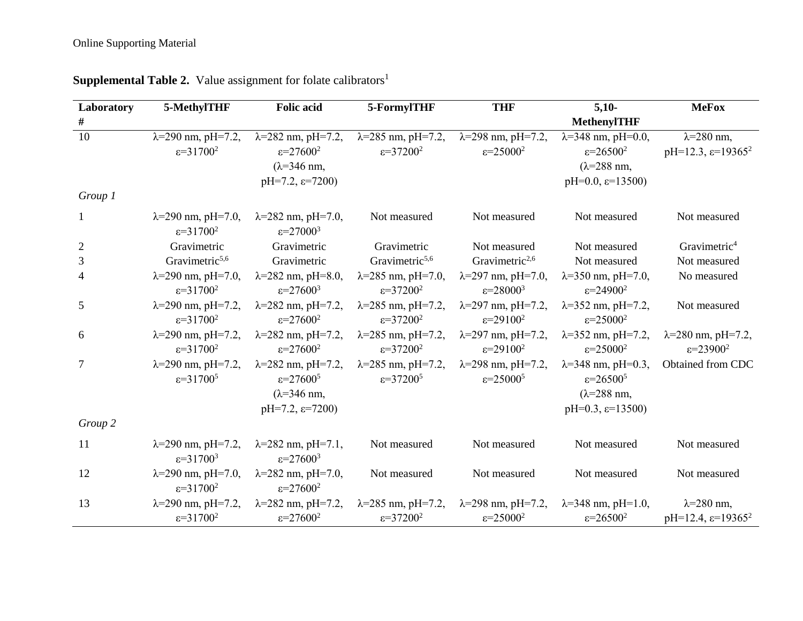| Laboratory     | 5-MethylTHF                                            | <b>Folic acid</b>                                      | 5-FormylTHF                 | <b>THF</b>                  | $5,10-$                        | <b>MeFox</b>                               |  |
|----------------|--------------------------------------------------------|--------------------------------------------------------|-----------------------------|-----------------------------|--------------------------------|--------------------------------------------|--|
| $\#$           |                                                        |                                                        |                             |                             | <b>MethenylTHF</b>             |                                            |  |
| 10             | $\lambda = 290$ nm, pH=7.2,                            | $\lambda = 282$ nm, pH=7.2,                            | $\lambda = 285$ nm, pH=7.2, | $\lambda = 298$ nm, pH=7.2, | $\lambda = 348$ nm, pH=0.0,    | $\lambda = 280$ nm,                        |  |
|                | $\varepsilon = 31700^2$                                | $\varepsilon = 27600^2$                                | $\varepsilon = 37200^2$     | $\varepsilon = 25000^2$     | $\varepsilon = 26500^2$        | pH=12.3, $\varepsilon$ =19365 <sup>2</sup> |  |
|                |                                                        | $(\lambda = 346$ nm,                                   |                             |                             | $(\lambda = 288 \text{ nm})$   |                                            |  |
|                |                                                        | $pH=7.2$ , $\varepsilon=7200$                          |                             |                             | $pH=0.0$ , $\varepsilon=13500$ |                                            |  |
| Group 1        |                                                        |                                                        |                             |                             |                                |                                            |  |
| $\mathbf{1}$   | $\lambda = 290$ nm, pH=7.0,<br>$\varepsilon = 31700^2$ | $\lambda = 282$ nm, pH=7.0,<br>$\varepsilon = 27000^3$ | Not measured                | Not measured                | Not measured                   | Not measured                               |  |
| $\overline{2}$ | Gravimetric                                            | Gravimetric                                            | Gravimetric                 | Not measured                | Not measured                   | Gravimetric <sup>4</sup>                   |  |
| 3              | Gravimetric <sup>5,6</sup>                             | Gravimetric                                            | Gravimetric <sup>5,6</sup>  | Gravimetric <sup>2,6</sup>  | Not measured                   | Not measured                               |  |
| 4              | $\lambda = 290$ nm, pH=7.0,                            | $\lambda = 282$ nm, pH=8.0,                            | $\lambda = 285$ nm, pH=7.0, | $\lambda = 297$ nm, pH=7.0, | $\lambda = 350$ nm, pH=7.0,    | No measured                                |  |
|                | $\varepsilon = 31700^2$                                | $\varepsilon = 27600^3$                                | $\varepsilon = 37200^2$     | $\varepsilon = 28000^3$     | $\varepsilon = 24900^2$        |                                            |  |
| 5              | $\lambda = 290$ nm, pH=7.2,                            | $\lambda = 282$ nm, pH=7.2,                            | $\lambda = 285$ nm, pH=7.2, | $\lambda = 297$ nm, pH=7.2, | $\lambda = 352$ nm, pH=7.2,    | Not measured                               |  |
|                | $\varepsilon = 31700^2$                                | $\varepsilon = 27600^2$                                | $\varepsilon = 37200^2$     | $\varepsilon = 29100^2$     | $\varepsilon = 25000^2$        |                                            |  |
| 6              | $\lambda = 290$ nm, pH=7.2,                            | $\lambda = 282$ nm, pH=7.2,                            | $\lambda = 285$ nm, pH=7.2, | $\lambda = 297$ nm, pH=7.2, | $\lambda = 352$ nm, pH=7.2,    | $\lambda = 280$ nm, pH=7.2,                |  |
|                | $\varepsilon = 31700^2$                                | $\varepsilon = 27600^2$                                | $\varepsilon = 37200^2$     | $\varepsilon = 29100^2$     | $\varepsilon = 25000^2$        | $\varepsilon = 23900^2$                    |  |
| $\overline{7}$ | $\lambda = 290$ nm, pH=7.2,                            | $\lambda = 282$ nm, pH=7.2,                            | $\lambda = 285$ nm, pH=7.2, | $\lambda = 298$ nm, pH=7.2, | $\lambda = 348$ nm, pH=0.3,    | Obtained from CDC                          |  |
|                | $\varepsilon = 31700^5$                                | $\varepsilon = 27600^5$                                | $\varepsilon = 37200^5$     | $\varepsilon = 25000^5$     | $\varepsilon = 26500^5$        |                                            |  |
|                |                                                        | $(\lambda = 346$ nm,                                   |                             |                             | $(\lambda = 288$ nm,           |                                            |  |
|                |                                                        | $pH=7.2$ , $\varepsilon=7200$                          |                             |                             | $pH=0.3$ , $\varepsilon=13500$ |                                            |  |
| Group 2        |                                                        |                                                        |                             |                             |                                |                                            |  |
| 11             | $\lambda = 290$ nm, pH=7.2,                            | $\lambda = 282$ nm, pH=7.1,                            | Not measured                | Not measured                | Not measured                   | Not measured                               |  |
|                | $\varepsilon = 31700^3$                                | $\varepsilon = 27600^3$                                |                             |                             |                                |                                            |  |
| 12             | $\lambda = 290$ nm, pH=7.0,<br>$\varepsilon = 31700^2$ | $\lambda = 282$ nm, pH=7.0,<br>$\varepsilon = 27600^2$ | Not measured                | Not measured                | Not measured                   | Not measured                               |  |
| 13             | $\lambda = 290$ nm, pH=7.2,                            | $\lambda = 282$ nm, pH=7.2,                            | $\lambda = 285$ nm, pH=7.2, | $\lambda = 298$ nm, pH=7.2, | $\lambda = 348$ nm, pH=1.0,    | $\lambda = 280$ nm,                        |  |
|                | $\varepsilon = 31700^2$                                | $\varepsilon = 27600^2$                                | $\varepsilon = 37200^2$     | $\varepsilon = 25000^2$     | $\varepsilon = 26500^2$        | $pH=12.4$ , $\varepsilon=19365^2$          |  |

## **Supplemental Table 2.** Value assignment for folate calibrators<sup>1</sup>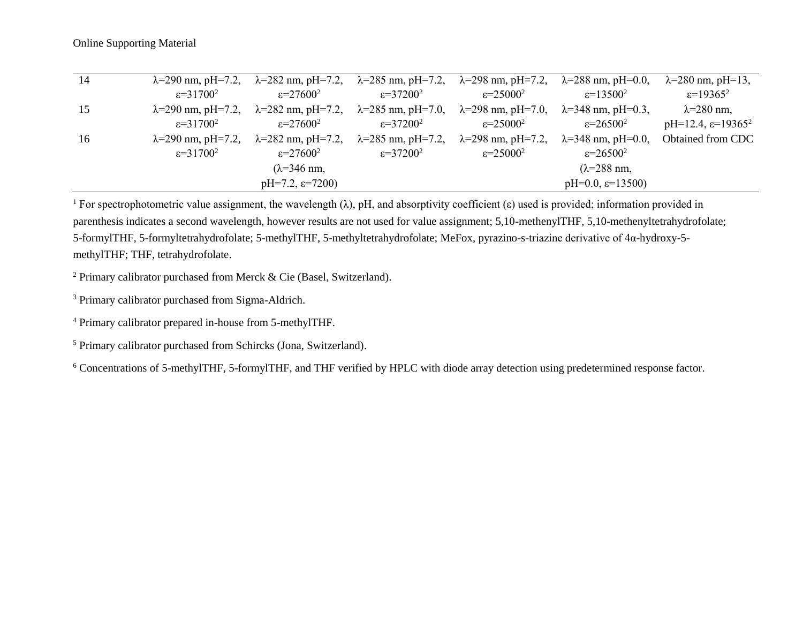| 14 |                         | $\lambda$ =290 nm, pH=7.2, $\lambda$ =282 nm, pH=7.2, $\lambda$ =285 nm, pH=7.2, $\lambda$ =298 nm, pH=7.2, $\lambda$ =288 nm, pH=0.0, |                         |                                                       |                                | $\lambda = 280$ nm, pH=13,        |
|----|-------------------------|----------------------------------------------------------------------------------------------------------------------------------------|-------------------------|-------------------------------------------------------|--------------------------------|-----------------------------------|
|    | $\varepsilon = 31700^2$ | $\varepsilon = 27600^2$                                                                                                                | $\varepsilon = 37200^2$ | $\varepsilon = 25000^2$                               | $\varepsilon = 13500^2$        | $\varepsilon = 19365^2$           |
| 15 |                         | $\lambda$ =290 nm, pH=7.2, $\lambda$ =282 nm, pH=7.2, $\lambda$ =285 nm, pH=7.0, $\lambda$ =298 nm, pH=7.0, $\lambda$ =348 nm, pH=0.3, |                         |                                                       |                                | $\lambda = 280$ nm,               |
|    | $\varepsilon = 31700^2$ | $\varepsilon = 27600^2$                                                                                                                | $\varepsilon = 37200^2$ | $\varepsilon = 25000^2$                               | $\varepsilon = 26500^2$        | $pH=12.4$ , $\varepsilon=19365^2$ |
| 16 |                         | $\lambda$ =290 nm, pH=7.2, $\lambda$ =282 nm, pH=7.2, $\lambda$ =285 nm, pH=7.2,                                                       |                         | $\lambda$ =298 nm, pH=7.2, $\lambda$ =348 nm, pH=0.0, |                                | Obtained from CDC                 |
|    | $\varepsilon = 31700^2$ | $\varepsilon = 27600^2$                                                                                                                | $\varepsilon = 37200^2$ | $\varepsilon = 25000^2$                               | $\varepsilon = 26500^2$        |                                   |
|    |                         | $(\lambda = 346$ nm,                                                                                                                   |                         |                                                       | $(\lambda=288$ nm,             |                                   |
|    |                         | $pH=7.2$ , $\varepsilon=7200$                                                                                                          |                         |                                                       | $pH=0.0$ , $\varepsilon=13500$ |                                   |

<sup>1</sup> For spectrophotometric value assignment, the wavelength ( $\lambda$ ), pH, and absorptivity coefficient ( $\varepsilon$ ) used is provided; information provided in parenthesis indicates a second wavelength, however results are not used for value assignment; 5,10-methenylTHF, 5,10-methenyltetrahydrofolate; 5-formylTHF, 5-formyltetrahydrofolate; 5-methylTHF, 5-methyltetrahydrofolate; MeFox, pyrazino-s-triazine derivative of 4α-hydroxy-5 methylTHF; THF, tetrahydrofolate.

<sup>2</sup> Primary calibrator purchased from Merck  $&$  Cie (Basel, Switzerland).

<sup>3</sup> Primary calibrator purchased from Sigma-Aldrich.

<sup>4</sup> Primary calibrator prepared in-house from 5-methylTHF.

<sup>5</sup> Primary calibrator purchased from Schircks (Jona, Switzerland).

<sup>6</sup> Concentrations of 5-methylTHF, 5-formylTHF, and THF verified by HPLC with diode array detection using predetermined response factor.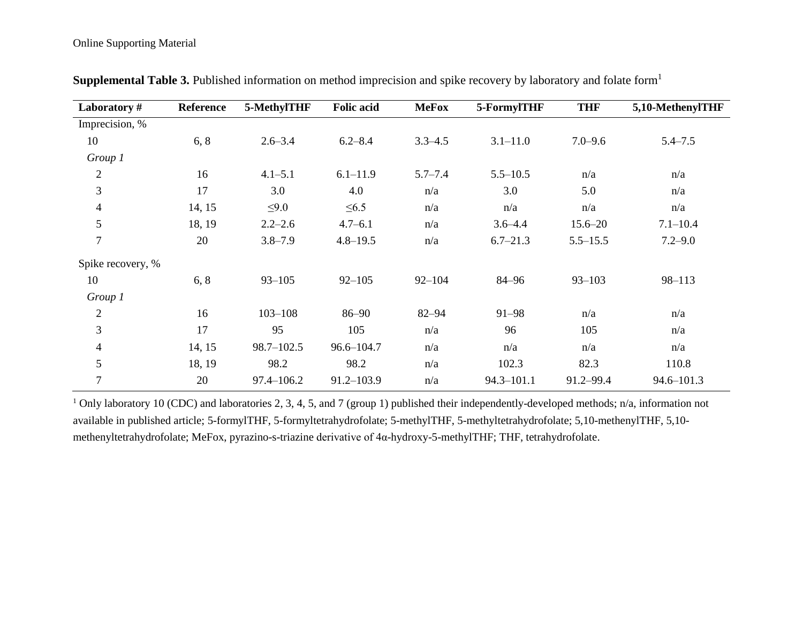| Laboratory#       | Reference | 5-MethylTHF | <b>Folic acid</b> | <b>MeFox</b> | 5-FormylTHF  | <b>THF</b>   | 5,10-MethenylTHF |
|-------------------|-----------|-------------|-------------------|--------------|--------------|--------------|------------------|
| Imprecision, %    |           |             |                   |              |              |              |                  |
| 10                | 6, 8      | $2.6 - 3.4$ | $6.2 - 8.4$       | $3.3 - 4.5$  | $3.1 - 11.0$ | $7.0 - 9.6$  | $5.4 - 7.5$      |
| Group 1           |           |             |                   |              |              |              |                  |
| $\mathfrak{2}$    | 16        | $4.1 - 5.1$ | $6.1 - 11.9$      | $5.7 - 7.4$  | $5.5 - 10.5$ | n/a          | n/a              |
| $\mathfrak{Z}$    | 17        | 3.0         | 4.0               | n/a          | 3.0          | 5.0          | n/a              |
| $\overline{4}$    | 14, 15    | $\leq 9.0$  | $\leq 6.5$        | n/a          | n/a          | n/a          | n/a              |
| 5                 | 18, 19    | $2.2 - 2.6$ | $4.7 - 6.1$       | n/a          | $3.6 - 4.4$  | $15.6 - 20$  | $7.1 - 10.4$     |
| $\overline{7}$    | 20        | $3.8 - 7.9$ | $4.8 - 19.5$      | n/a          | $6.7 - 21.3$ | $5.5 - 15.5$ | $7.2 - 9.0$      |
| Spike recovery, % |           |             |                   |              |              |              |                  |
| 10                | 6, 8      | $93 - 105$  | $92 - 105$        | $92 - 104$   | 84-96        | $93 - 103$   | $98 - 113$       |
| Group 1           |           |             |                   |              |              |              |                  |
| $\overline{2}$    | 16        | $103 - 108$ | 86-90             | $82 - 94$    | $91 - 98$    | n/a          | n/a              |
| 3                 | 17        | 95          | 105               | n/a          | 96           | 105          | n/a              |
| $\overline{4}$    | 14, 15    | 98.7-102.5  | $96.6 - 104.7$    | n/a          | n/a          | n/a          | n/a              |
| 5                 | 18, 19    | 98.2        | 98.2              | n/a          | 102.3        | 82.3         | 110.8            |
| $\overline{7}$    | 20        | 97.4-106.2  | $91.2 - 103.9$    | n/a          | 94.3-101.1   | 91.2-99.4    | 94.6-101.3       |

**Supplemental Table 3.** Published information on method imprecision and spike recovery by laboratory and folate form<sup>1</sup>

<sup>1</sup> Only laboratory 10 (CDC) and laboratories 2, 3, 4, 5, and 7 (group 1) published their independently-developed methods; n/a, information not available in published article; 5-formylTHF, 5-formyltetrahydrofolate; 5-methylTHF, 5-methyltetrahydrofolate; 5,10-methenylTHF, 5,10 methenyltetrahydrofolate; MeFox, pyrazino-s-triazine derivative of 4α-hydroxy-5-methylTHF; THF, tetrahydrofolate.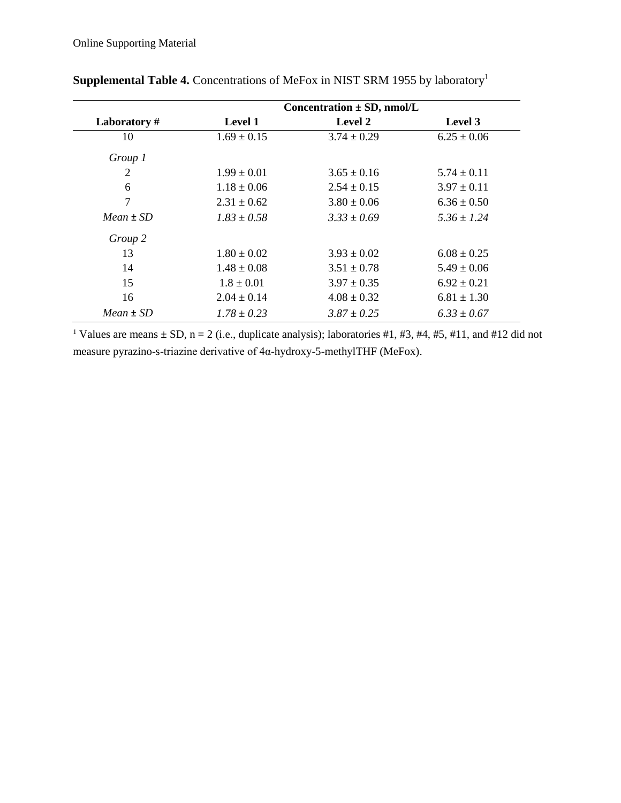|               |                 | Concentration $\pm$ SD, nmol/L |                 |
|---------------|-----------------|--------------------------------|-----------------|
| Laboratory#   | <b>Level 1</b>  | Level 2                        | Level 3         |
| 10            | $1.69 \pm 0.15$ | $3.74 \pm 0.29$                | $6.25 \pm 0.06$ |
| Group 1       |                 |                                |                 |
| 2             | $1.99 \pm 0.01$ | $3.65 \pm 0.16$                | $5.74 \pm 0.11$ |
| 6             | $1.18 \pm 0.06$ | $2.54 \pm 0.15$                | $3.97 \pm 0.11$ |
| 7             | $2.31 \pm 0.62$ | $3.80 \pm 0.06$                | $6.36 \pm 0.50$ |
| $Mean + SD$   | $1.83 + 0.58$   | $3.33 + 0.69$                  | $5.36 + 1.24$   |
| Group 2       |                 |                                |                 |
| 13            | $1.80 \pm 0.02$ | $3.93 \pm 0.02$                | $6.08 \pm 0.25$ |
| 14            | $1.48 \pm 0.08$ | $3.51 \pm 0.78$                | $5.49 \pm 0.06$ |
| 15            | $1.8 \pm 0.01$  | $3.97 \pm 0.35$                | $6.92 \pm 0.21$ |
| 16            | $2.04 \pm 0.14$ | $4.08 \pm 0.32$                | $6.81 \pm 1.30$ |
| $Mean \pm SD$ | $1.78 \pm 0.23$ | $3.87 \pm 0.25$                | $6.33 \pm 0.67$ |

**Supplemental Table 4.** Concentrations of MeFox in NIST SRM 1955 by laboratory<sup>1</sup>

<sup>1</sup> Values are means  $\pm$  SD, n = 2 (i.e., duplicate analysis); laboratories #1, #3, #4, #5, #11, and #12 did not measure pyrazino-s-triazine derivative of 4α-hydroxy-5-methylTHF (MeFox).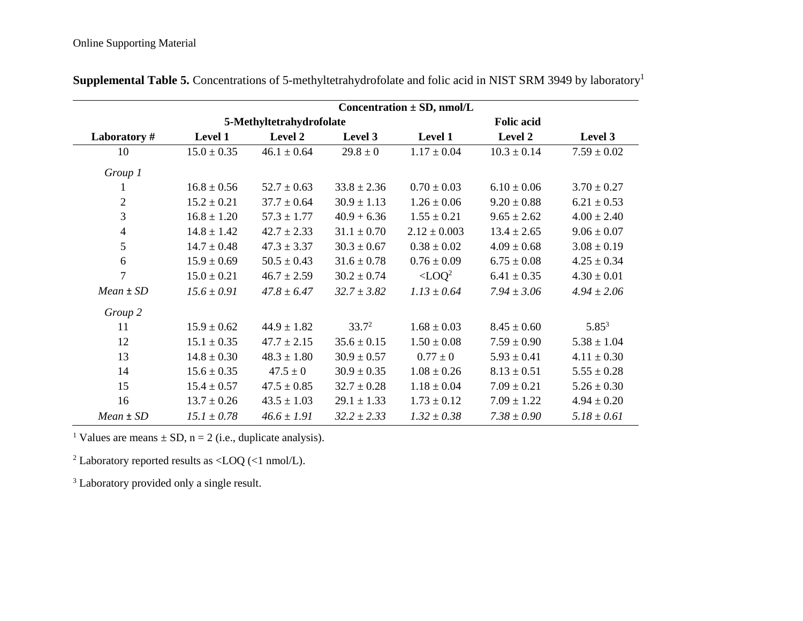|                | Concentration $\pm$ SD, nmol/L |                          |                 |                           |                 |                 |  |  |  |  |  |
|----------------|--------------------------------|--------------------------|-----------------|---------------------------|-----------------|-----------------|--|--|--|--|--|
|                |                                | 5-Methyltetrahydrofolate |                 | <b>Folic acid</b>         |                 |                 |  |  |  |  |  |
| Laboratory#    | Level 1                        | Level 2                  | Level 3         | Level 1                   | Level 2         | Level 3         |  |  |  |  |  |
| 10             | $15.0 \pm 0.35$                | $46.1 \pm 0.64$          | $29.8 \pm 0$    | $1.17 \pm 0.04$           | $10.3 \pm 0.14$ | $7.59\pm0.02$   |  |  |  |  |  |
| Group 1        |                                |                          |                 |                           |                 |                 |  |  |  |  |  |
| 1              | $16.8 \pm 0.56$                | $52.7 \pm 0.63$          | $33.8 \pm 2.36$ | $0.70 \pm 0.03$           | $6.10 \pm 0.06$ | $3.70 \pm 0.27$ |  |  |  |  |  |
| $\overline{c}$ | $15.2 \pm 0.21$                | $37.7 \pm 0.64$          | $30.9 \pm 1.13$ | $1.26 \pm 0.06$           | $9.20 \pm 0.88$ | $6.21 \pm 0.53$ |  |  |  |  |  |
| 3              | $16.8 \pm 1.20$                | $57.3 \pm 1.77$          | $40.9 + 6.36$   | $1.55 \pm 0.21$           | $9.65 \pm 2.62$ | $4.00 \pm 2.40$ |  |  |  |  |  |
| $\overline{4}$ | $14.8 \pm 1.42$                | $42.7 \pm 2.33$          | $31.1 \pm 0.70$ | $2.12 \pm 0.003$          | $13.4 \pm 2.65$ | $9.06 \pm 0.07$ |  |  |  |  |  |
| 5              | $14.7 \pm 0.48$                | $47.3 \pm 3.37$          | $30.3 \pm 0.67$ | $0.38 \pm 0.02$           | $4.09 \pm 0.68$ | $3.08 \pm 0.19$ |  |  |  |  |  |
| 6              | $15.9 \pm 0.69$                | $50.5 \pm 0.43$          | $31.6 \pm 0.78$ | $0.76 \pm 0.09$           | $6.75 \pm 0.08$ | $4.25 \pm 0.34$ |  |  |  |  |  |
| $\overline{7}$ | $15.0 \pm 0.21$                | $46.7 \pm 2.59$          | $30.2 \pm 0.74$ | $\angle$ LOQ <sup>2</sup> | $6.41 \pm 0.35$ | $4.30 \pm 0.01$ |  |  |  |  |  |
| $Mean \pm SD$  | $15.6 \pm 0.91$                | $47.8 \pm 6.47$          | $32.7 \pm 3.82$ | $1.13 \pm 0.64$           | $7.94 \pm 3.06$ | $4.94 \pm 2.06$ |  |  |  |  |  |
| Group 2        |                                |                          |                 |                           |                 |                 |  |  |  |  |  |
| 11             | $15.9 \pm 0.62$                | $44.9 \pm 1.82$          | $33.7^2$        | $1.68 \pm 0.03$           | $8.45 \pm 0.60$ | $5.85^{3}$      |  |  |  |  |  |
| 12             | $15.1 \pm 0.35$                | $47.7 \pm 2.15$          | $35.6 \pm 0.15$ | $1.50 \pm 0.08$           | $7.59 \pm 0.90$ | $5.38 \pm 1.04$ |  |  |  |  |  |
| 13             | $14.8 \pm 0.30$                | $48.3 \pm 1.80$          | $30.9 \pm 0.57$ | $0.77 \pm 0$              | $5.93 \pm 0.41$ | $4.11 \pm 0.30$ |  |  |  |  |  |
| 14             | $15.6 \pm 0.35$                | $47.5 \pm 0$             | $30.9 \pm 0.35$ | $1.08 \pm 0.26$           | $8.13 \pm 0.51$ | $5.55 \pm 0.28$ |  |  |  |  |  |
| 15             | $15.4 \pm 0.57$                | $47.5 \pm 0.85$          | $32.7 \pm 0.28$ | $1.18 \pm 0.04$           | $7.09 \pm 0.21$ | $5.26 \pm 0.30$ |  |  |  |  |  |
| 16             | $13.7 \pm 0.26$                | $43.5 \pm 1.03$          | $29.1 \pm 1.33$ | $1.73 \pm 0.12$           | $7.09 \pm 1.22$ | $4.94 \pm 0.20$ |  |  |  |  |  |
| $Mean \pm SD$  | $15.1 \pm 0.78$                | $46.6 \pm 1.91$          | $32.2 \pm 2.33$ | $1.32 \pm 0.38$           | $7.38 \pm 0.90$ | $5.18 \pm 0.61$ |  |  |  |  |  |

**Supplemental Table 5.** Concentrations of 5-methyltetrahydrofolate and folic acid in NIST SRM 3949 by laboratory<sup>1</sup>

<sup>1</sup> Values are means  $\pm$  SD, n = 2 (i.e., duplicate analysis).

<sup>2</sup> Laboratory reported results as <LOQ (<1 nmol/L).

<sup>3</sup> Laboratory provided only a single result.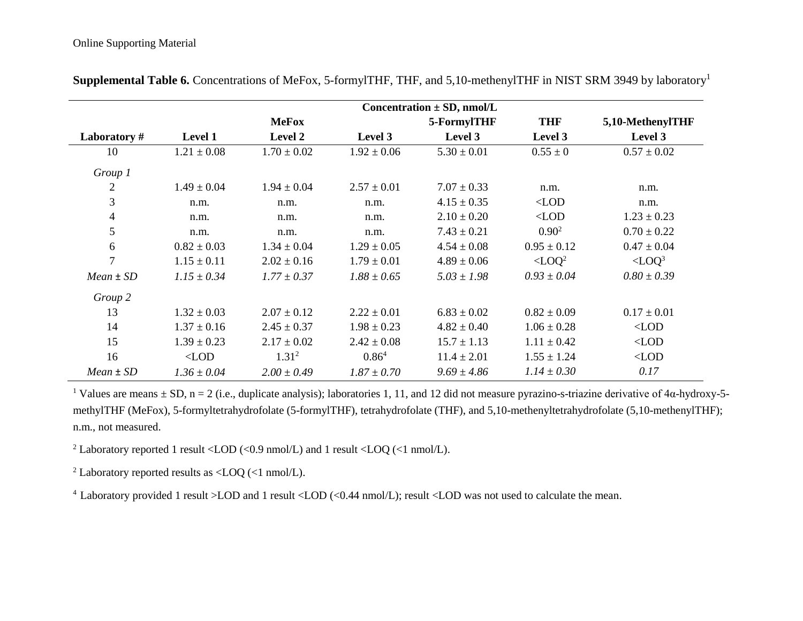|                | Concentration $\pm$ SD, nmol/L |                   |                   |                 |                           |                      |  |  |  |  |  |
|----------------|--------------------------------|-------------------|-------------------|-----------------|---------------------------|----------------------|--|--|--|--|--|
|                |                                | <b>MeFox</b>      |                   | 5-FormylTHF     | <b>THF</b>                | 5,10-MethenylTHF     |  |  |  |  |  |
| Laboratory#    | <b>Level 1</b>                 | Level 2           | Level 3           | Level 3         | Level 3                   | Level 3              |  |  |  |  |  |
| 10             | $1.21 \pm 0.08$                | $1.70 \pm 0.02$   | $1.92 \pm 0.06$   | $5.30 \pm 0.01$ | $0.55 \pm 0$              | $0.57 \pm 0.02$      |  |  |  |  |  |
| Group 1        |                                |                   |                   |                 |                           |                      |  |  |  |  |  |
| $\overline{2}$ | $1.49 \pm 0.04$                | $1.94 \pm 0.04$   | $2.57 \pm 0.01$   | $7.07 \pm 0.33$ | n.m.                      | n.m.                 |  |  |  |  |  |
| 3              | n.m.                           | n.m.              | n.m.              | $4.15 \pm 0.35$ | $\langle$ LOD             | n.m.                 |  |  |  |  |  |
| $\overline{4}$ | n.m.                           | n.m.              | n.m.              | $2.10 \pm 0.20$ | $\langle$ LOD             | $1.23 \pm 0.23$      |  |  |  |  |  |
| 5              | n.m.                           | n.m.              | n.m.              | $7.43 \pm 0.21$ | $0.90^{2}$                | $0.70 \pm 0.22$      |  |  |  |  |  |
| 6              | $0.82 \pm 0.03$                | $1.34 \pm 0.04$   | $1.29 \pm 0.05$   | $4.54 \pm 0.08$ | $0.95 \pm 0.12$           | $0.47 \pm 0.04$      |  |  |  |  |  |
| $\overline{7}$ | $1.15 \pm 0.11$                | $2.02 \pm 0.16$   | $1.79 \pm 0.01$   | $4.89 \pm 0.06$ | $\angle$ LOQ <sup>2</sup> | $<$ LOQ <sup>3</sup> |  |  |  |  |  |
| $Mean \pm SD$  | $1.15 \pm 0.34$                | $1.77 \pm 0.37$   | $1.88 \pm 0.65$   | $5.03 \pm 1.98$ | $0.93 \pm 0.04$           | $0.80 \pm 0.39$      |  |  |  |  |  |
| Group 2        |                                |                   |                   |                 |                           |                      |  |  |  |  |  |
| 13             | $1.32 \pm 0.03$                | $2.07 \pm 0.12$   | $2.22 \pm 0.01$   | $6.83 \pm 0.02$ | $0.82 \pm 0.09$           | $0.17 \pm 0.01$      |  |  |  |  |  |
| 14             | $1.37 \pm 0.16$                | $2.45 \pm 0.37$   | $1.98 \pm 0.23$   | $4.82 \pm 0.40$ | $1.06 \pm 0.28$           | $\langle$ LOD        |  |  |  |  |  |
| 15             | $1.39 \pm 0.23$                | $2.17 \pm 0.02$   | $2.42 \pm 0.08$   | $15.7 \pm 1.13$ | $1.11 \pm 0.42$           | $\langle$ LOD        |  |  |  |  |  |
| 16             | $\langle$ LOD                  | 1.31 <sup>2</sup> | 0.86 <sup>4</sup> | $11.4 \pm 2.01$ | $1.55 \pm 1.24$           | $\langle$ LOD        |  |  |  |  |  |
| $Mean \pm SD$  | $1.36 \pm 0.04$                | $2.00 \pm 0.49$   | $1.87 \pm 0.70$   | $9.69 \pm 4.86$ | $1.14 \pm 0.30$           | 0.17                 |  |  |  |  |  |

**Supplemental Table 6.** Concentrations of MeFox, 5-formylTHF, THF, and 5,10-methenylTHF in NIST SRM 3949 by laboratory<sup>1</sup>

<sup>1</sup> Values are means  $\pm$  SD, n = 2 (i.e., duplicate analysis); laboratories 1, 11, and 12 did not measure pyrazino-s-triazine derivative of 4α-hydroxy-5methylTHF (MeFox), 5-formyltetrahydrofolate (5-formylTHF), tetrahydrofolate (THF), and 5,10-methenyltetrahydrofolate (5,10-methenylTHF); n.m., not measured.

<sup>2</sup> Laboratory reported 1 result <LOD (<0.9 nmol/L) and 1 result <LOQ (<1 nmol/L).

<sup>2</sup> Laboratory reported results as  $\langle$  LOQ ( $\langle$ 1 nmol/L).

<sup>4</sup> Laboratory provided 1 result >LOD and 1 result <LOD (<0.44 nmol/L); result <LOD was not used to calculate the mean.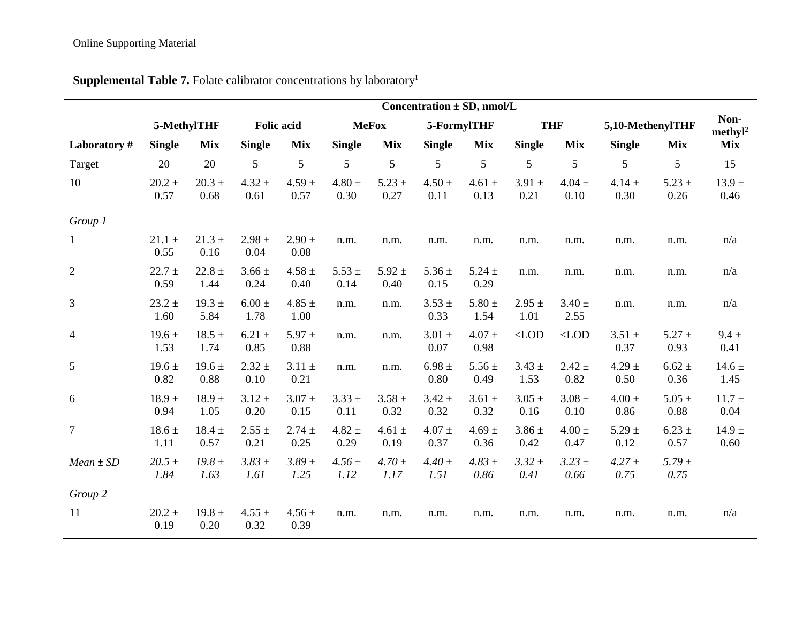|                | Concentration $\pm$ SD, nmol/L |                    |                    |                    |                    |                    |                    |                    |                    |                    |                    |                    |                           |
|----------------|--------------------------------|--------------------|--------------------|--------------------|--------------------|--------------------|--------------------|--------------------|--------------------|--------------------|--------------------|--------------------|---------------------------|
|                |                                | 5-MethylTHF        | <b>Folic acid</b>  |                    |                    | <b>MeFox</b>       |                    | 5-FormylTHF        |                    | <b>THF</b>         | 5,10-MethenylTHF   |                    | Non-<br>$\text{methyl}^2$ |
| Laboratory#    | <b>Single</b>                  | <b>Mix</b>         | <b>Single</b>      | <b>Mix</b>         | <b>Single</b>      | <b>Mix</b>         | <b>Single</b>      | <b>Mix</b>         | <b>Single</b>      | <b>Mix</b>         | <b>Single</b>      | <b>Mix</b>         | <b>Mix</b>                |
| Target         | 20                             | 20                 | $5\overline{)}$    | 5                  | 5                  | 5                  | 5                  | 5                  | 5                  | 5                  | 5                  | 5                  | 15                        |
| 10             | $20.2 \pm$<br>0.57             | $20.3 \pm$<br>0.68 | $4.32 \pm$<br>0.61 | $4.59 \pm$<br>0.57 | $4.80 \pm$<br>0.30 | $5.23 \pm$<br>0.27 | $4.50 \pm$<br>0.11 | $4.61 \pm$<br>0.13 | $3.91 \pm$<br>0.21 | $4.04 \pm$<br>0.10 | $4.14 \pm$<br>0.30 | $5.23 \pm$<br>0.26 | $13.9 \pm$<br>0.46        |
| Group 1        |                                |                    |                    |                    |                    |                    |                    |                    |                    |                    |                    |                    |                           |
| 1              | $21.1 \pm$<br>0.55             | $21.3 \pm$<br>0.16 | $2.98 \pm$<br>0.04 | $2.90 \pm$<br>0.08 | n.m.               | n.m.               | n.m.               | n.m.               | n.m.               | n.m.               | n.m.               | n.m.               | n/a                       |
| $\overline{c}$ | $22.7 \pm$<br>0.59             | $22.8 +$<br>1.44   | $3.66 \pm$<br>0.24 | $4.58 \pm$<br>0.40 | $5.53 \pm$<br>0.14 | $5.92 \pm$<br>0.40 | $5.36 \pm$<br>0.15 | $5.24 \pm$<br>0.29 | n.m.               | n.m.               | n.m.               | n.m.               | n/a                       |
| 3              | $23.2 \pm$<br>1.60             | $19.3 \pm$<br>5.84 | $6.00 \pm$<br>1.78 | 4.85 $\pm$<br>1.00 | n.m.               | n.m.               | $3.53 \pm$<br>0.33 | $5.80 \pm$<br>1.54 | $2.95 \pm$<br>1.01 | $3.40 \pm$<br>2.55 | n.m.               | n.m.               | n/a                       |
| $\overline{4}$ | $19.6 \pm$<br>1.53             | $18.5 \pm$<br>1.74 | $6.21 \pm$<br>0.85 | $5.97 \pm$<br>0.88 | n.m.               | n.m.               | $3.01 \pm$<br>0.07 | $4.07 \pm$<br>0.98 | $<$ LOD            | $<$ LOD            | $3.51 \pm$<br>0.37 | $5.27 \pm$<br>0.93 | $9.4 \pm$<br>0.41         |
| 5              | $19.6 \pm$<br>0.82             | $19.6 \pm$<br>0.88 | $2.32 \pm$<br>0.10 | $3.11 \pm$<br>0.21 | n.m.               | n.m.               | $6.98 \pm$<br>0.80 | $5.56 \pm$<br>0.49 | $3.43 \pm$<br>1.53 | $2.42 \pm$<br>0.82 | $4.29 \pm$<br>0.50 | $6.62 \pm$<br>0.36 | $14.6 \pm$<br>1.45        |
| 6              | $18.9 \pm$<br>0.94             | $18.9 \pm$<br>1.05 | $3.12 \pm$<br>0.20 | $3.07 \pm$<br>0.15 | $3.33 \pm$<br>0.11 | $3.58 \pm$<br>0.32 | $3.42 \pm$<br>0.32 | $3.61 \pm$<br>0.32 | $3.05 \pm$<br>0.16 | $3.08 \pm$<br>0.10 | $4.00 \pm$<br>0.86 | $5.05 \pm$<br>0.88 | $11.7 \pm$<br>0.04        |
| $\overline{7}$ | $18.6 \pm$<br>1.11             | $18.4 \pm$<br>0.57 | $2.55 \pm$<br>0.21 | $2.74 \pm$<br>0.25 | $4.82 \pm$<br>0.29 | 4.61 $\pm$<br>0.19 | $4.07 \pm$<br>0.37 | $4.69 \pm$<br>0.36 | $3.86 \pm$<br>0.42 | $4.00 \pm$<br>0.47 | $5.29 \pm$<br>0.12 | $6.23 \pm$<br>0.57 | $14.9 \pm$<br>0.60        |
| $Mean \pm SD$  | $20.5 \pm$<br>1.84             | $19.8 \pm$<br>1.63 | $3.83 \pm$<br>1.61 | $3.89 \pm$<br>1.25 | $4.56 \pm$<br>1.12 | $4.70 \pm$<br>1.17 | $4.40 \pm$<br>1.51 | $4.83 \pm$<br>0.86 | $3.32 \pm$<br>0.41 | $3.23 \pm$<br>0.66 | $4.27 \pm$<br>0.75 | $5.79 \pm$<br>0.75 |                           |
| Group 2        |                                |                    |                    |                    |                    |                    |                    |                    |                    |                    |                    |                    |                           |
| 11             | $20.2 \pm$<br>0.19             | 19.8 $\pm$<br>0.20 | $4.55 \pm$<br>0.32 | $4.56 \pm$<br>0.39 | n.m.               | n.m.               | n.m.               | n.m.               | n.m.               | n.m.               | n.m.               | n.m.               | n/a                       |

# **Supplemental Table 7.** Folate calibrator concentrations by laboratory<sup>1</sup>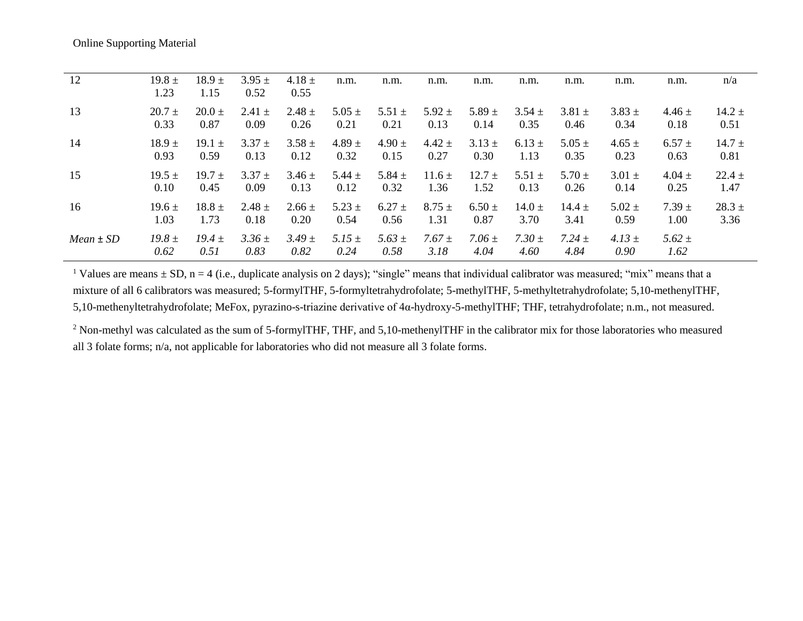| 12            | $19.8 \pm$<br>1.23 | $18.9 \pm$<br>1.15 | $3.95 \pm$<br>0.52 | $4.18 \pm$<br>0.55 | n.m.               | n.m.               | n.m.               | n.m.               | n.m.               | n.m.               | n.m.               | n.m.               | n/a        |
|---------------|--------------------|--------------------|--------------------|--------------------|--------------------|--------------------|--------------------|--------------------|--------------------|--------------------|--------------------|--------------------|------------|
| 13            | $20.7 \pm$         | $20.0 \pm$         | $2.41 \pm$         | $2.48 \pm$         | $5.05 \pm$         | $5.51 \pm$         | $5.92 \pm$         | 5.89 $\pm$         | $3.54 \pm$         | $3.81 \pm$         | $3.83 \pm$         | $4.46 \pm$         | $14.2 \pm$ |
|               | 0.33               | 0.87               | 0.09               | 0.26               | 0.21               | 0.21               | 0.13               | 0.14               | 0.35               | 0.46               | 0.34               | 0.18               | 0.51       |
| 14            | $18.9 \pm$         | $19.1 \pm$         | $3.37 +$           | $3.58 \pm$         | $4.89 \pm$         | $4.90 \pm$         | $4.42 \pm$         | $3.13 \pm$         | $6.13 \pm$         | $5.05 \pm$         | $4.65 \pm$         | $6.57 +$           | $14.7 \pm$ |
|               | 0.93               | 0.59               | 0.13               | 0.12               | 0.32               | 0.15               | 0.27               | 0.30               | 1.13               | 0.35               | 0.23               | 0.63               | 0.81       |
| 15            | $19.5 \pm$         | $19.7 \pm$         | $3.37 +$           | $3.46 \pm$         | 5.44 $\pm$         | 5.84 $\pm$         | $11.6 \pm$         | $12.7 \pm$         | $5.51 \pm$         | $5.70 \pm$         | $3.01 \pm$         | $4.04 \pm$         | $22.4 \pm$ |
|               | 0.10               | 0.45               | 0.09               | 0.13               | 0.12               | 0.32               | 1.36               | 1.52               | 0.13               | 0.26               | 0.14               | 0.25               | 1.47       |
| 16            | $19.6 \pm$         | $18.8 \pm$         | $2.48 \pm$         | $2.66 \pm$         | $5.23 \pm$         | $6.27 \pm$         | $8.75 \pm$         | $6.50 \pm$         | $14.0 \pm$         | $14.4 \pm$         | $5.02 \pm$         | $7.39 \pm$         | $28.3 \pm$ |
|               | 1.03               | 1.73               | 0.18               | 0.20               | 0.54               | 0.56               | 1.31               | 0.87               | 3.70               | 3.41               | 0.59               | 1.00               | 3.36       |
| $Mean \pm SD$ | $19.8 \pm$<br>0.62 | $19.4 \pm$<br>0.51 | $3.36 \pm$<br>0.83 | $3.49 \pm$<br>0.82 | $5.15 \pm$<br>0.24 | $5.63 \pm$<br>0.58 | $7.67 \pm$<br>3.18 | $7.06 \pm$<br>4.04 | $7.30 \pm$<br>4.60 | $7.24 \pm$<br>4.84 | 4.13 $\pm$<br>0.90 | $5.62 \pm$<br>1.62 |            |

<sup>1</sup> Values are means  $\pm$  SD, n = 4 (i.e., duplicate analysis on 2 days); "single" means that individual calibrator was measured; "mix" means that a mixture of all 6 calibrators was measured; 5-formylTHF, 5-formyltetrahydrofolate; 5-methylTHF, 5-methyltetrahydrofolate; 5,10-methenylTHF, 5,10-methenyltetrahydrofolate; MeFox, pyrazino-s-triazine derivative of 4α-hydroxy-5-methylTHF; THF, tetrahydrofolate; n.m., not measured.

<sup>2</sup> Non-methyl was calculated as the sum of 5-formylTHF, THF, and 5,10-methenylTHF in the calibrator mix for those laboratories who measured all 3 folate forms; n/a, not applicable for laboratories who did not measure all 3 folate forms.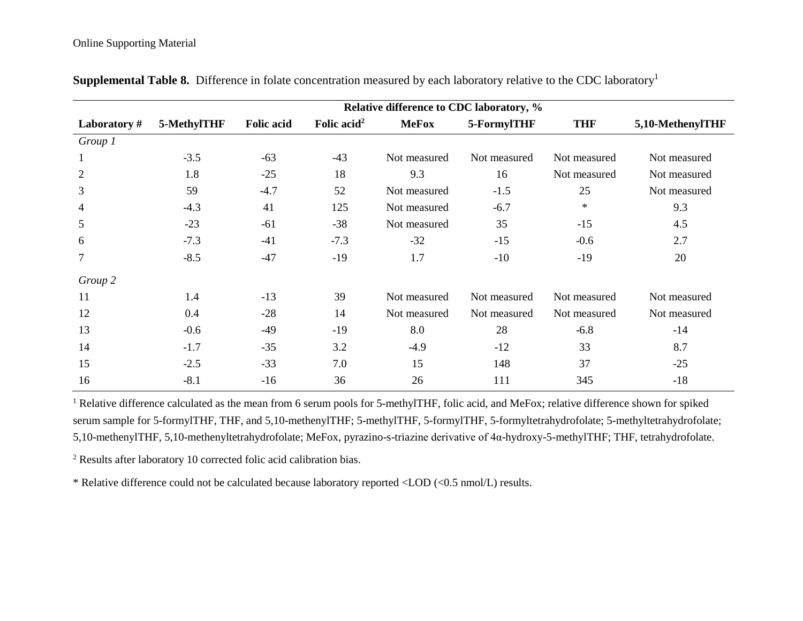|                | Relative difference to CDC laboratory, % |                   |                         |              |              |              |                  |  |  |  |  |  |
|----------------|------------------------------------------|-------------------|-------------------------|--------------|--------------|--------------|------------------|--|--|--|--|--|
| Laboratory#    | 5-MethylTHF                              | <b>Folic acid</b> | Folic acid <sup>2</sup> | <b>MeFox</b> | 5-FormylTHF  | <b>THF</b>   | 5,10-MethenylTHF |  |  |  |  |  |
| Group 1        |                                          |                   |                         |              |              |              |                  |  |  |  |  |  |
| 1              | $-3.5$                                   | $-63$             | $-43$                   | Not measured | Not measured | Not measured | Not measured     |  |  |  |  |  |
| $\overline{2}$ | 1.8                                      | $-25$             | 18                      | 9.3          | 16           | Not measured | Not measured     |  |  |  |  |  |
| 3              | 59                                       | $-4.7$            | 52                      | Not measured | $-1.5$       | 25           | Not measured     |  |  |  |  |  |
| 4              | $-4.3$                                   | 41                | 125                     | Not measured | $-6.7$       | $\ast$       | 9.3              |  |  |  |  |  |
| 5              | $-23$                                    | $-61$             | $-38$                   | Not measured | 35           | $-15$        | 4.5              |  |  |  |  |  |
| 6              | $-7.3$                                   | $-41$             | $-7.3$                  | $-32$        | $-15$        | $-0.6$       | 2.7              |  |  |  |  |  |
| 7              | $-8.5$                                   | $-47$             | $-19$                   | 1.7          | $-10$        | $-19$        | 20               |  |  |  |  |  |
| Group 2        |                                          |                   |                         |              |              |              |                  |  |  |  |  |  |
| 11             | 1.4                                      | $-13$             | 39                      | Not measured | Not measured | Not measured | Not measured     |  |  |  |  |  |
| 12             | 0.4                                      | $-28$             | 14                      | Not measured | Not measured | Not measured | Not measured     |  |  |  |  |  |
| 13             | $-0.6$                                   | $-49$             | $-19$                   | 8.0          | 28           | $-6.8$       | $-14$            |  |  |  |  |  |
| 14             | $-1.7$                                   | $-35$             | 3.2                     | $-4.9$       | $-12$        | 33           | 8.7              |  |  |  |  |  |
| 15             | $-2.5$                                   | $-33$             | 7.0                     | 15           | 148          | 37           | $-25$            |  |  |  |  |  |
| 16             | $-8.1$                                   | $-16$             | 36                      | 26           | 111          | 345          | $-18$            |  |  |  |  |  |

**Supplemental Table 8.** Difference in folate concentration measured by each laboratory relative to the CDC laboratory<sup>1</sup>

<sup>1</sup> Relative difference calculated as the mean from 6 serum pools for 5-methylTHF, folic acid, and MeFox; relative difference shown for spiked serum sample for 5-formylTHF, THF, and 5,10-methenylTHF; 5-methylTHF, 5-formylTHF, 5-formyltetrahydrofolate; 5-methyltetrahydrofolate; 5,10-methenylTHF, 5,10-methenyltetrahydrofolate; MeFox, pyrazino-s-triazine derivative of 4α-hydroxy-5-methylTHF; THF, tetrahydrofolate.

<sup>2</sup> Results after laboratory 10 corrected folic acid calibration bias.

\* Relative difference could not be calculated because laboratory reported <LOD (<0.5 nmol/L) results.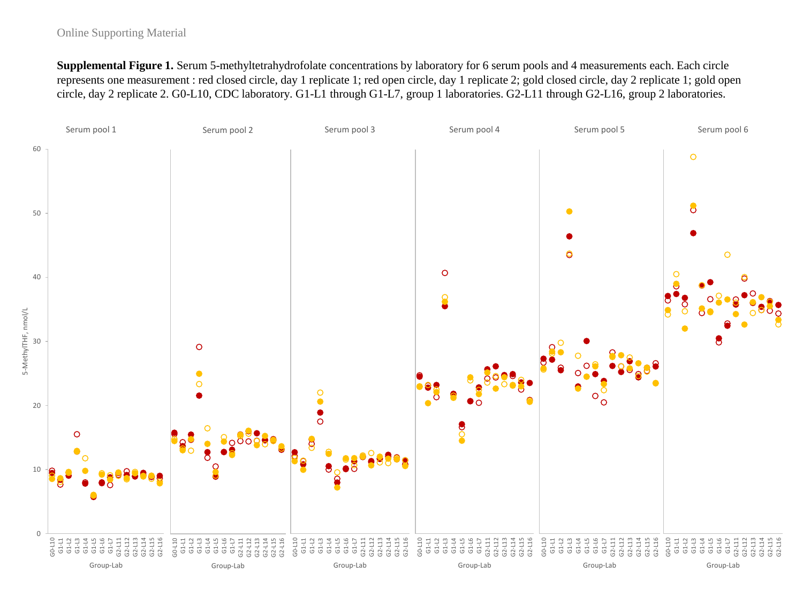### Online Supporting Material

**Supplemental Figure 1.** Serum 5-methyltetrahydrofolate concentrations by laboratory for 6 serum pools and 4 measurements each. Each circle represents one measurement : red closed circle, day 1 replicate 1; red open circle, day 1 replicate 2; gold closed circle, day 2 replicate 1; gold open circle, day 2 replicate 2. G0-L10, CDC laboratory. G1-L1 through G1-L7, group 1 laboratories. G2-L11 through G2-L16, group 2 laboratories.

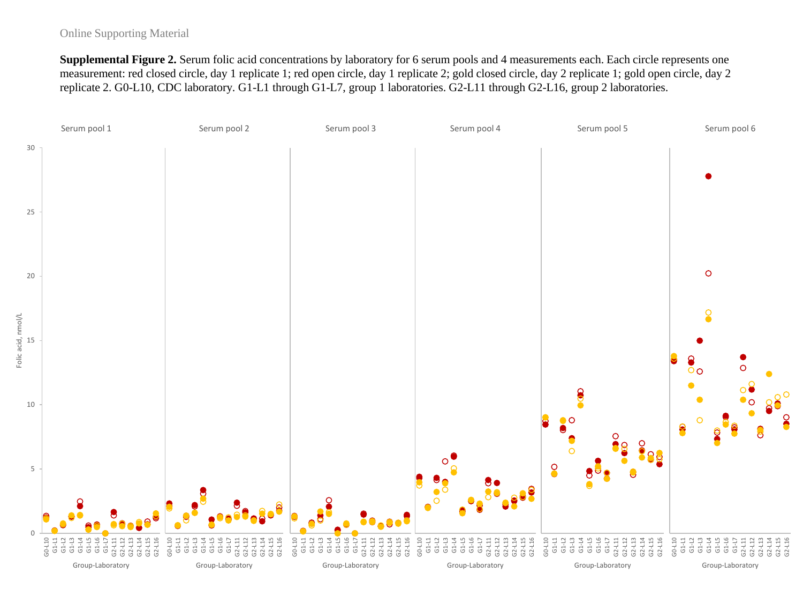#### Online Supporting Material

**Supplemental Figure 2.** Serum folic acid concentrations by laboratory for 6 serum pools and 4 measurements each. Each circle represents one measurement: red closed circle, day 1 replicate 1; red open circle, day 1 replicate 2; gold closed circle, day 2 replicate 1; gold open circle, day 2 replicate 2. G0-L10, CDC laboratory. G1-L1 through G1-L7, group 1 laboratories. G2-L11 through G2-L16, group 2 laboratories.